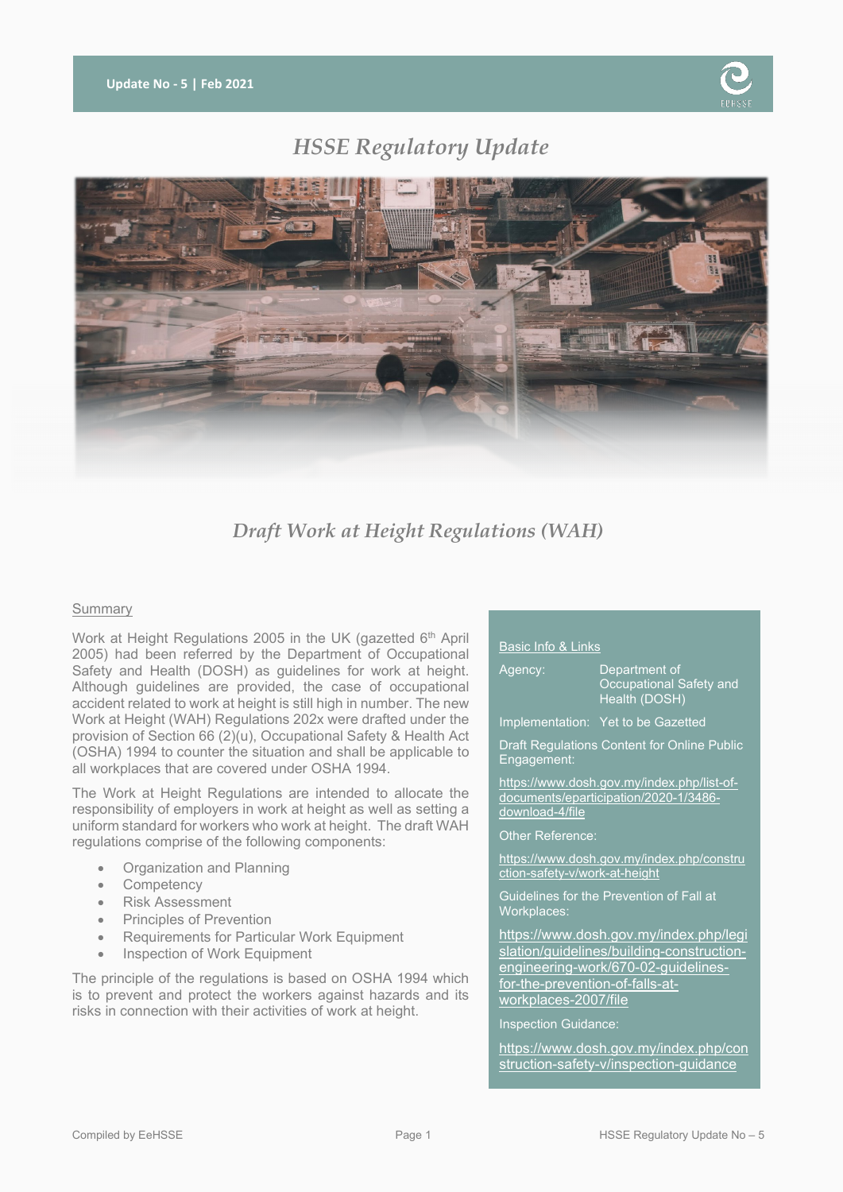

# *HSSE Regulatory Update*



# *Draft Work at Height Regulations (WAH)*

# **Summary**

Work at Height Regulations 2005 in the UK (gazetted 6<sup>th</sup> April 2005) had been referred by the Department of Occupational Safety and Health (DOSH) as guidelines for work at height. Although guidelines are provided, the case of occupational accident related to work at height is still high in number. The new Work at Height (WAH) Regulations 202x were drafted under the provision of Section 66 (2)(u), Occupational Safety & Health Act (OSHA) 1994 to counter the situation and shall be applicable to all workplaces that are covered under OSHA 1994.

The Work at Height Regulations are intended to allocate the responsibility of employers in work at height as well as setting a uniform standard for workers who work at height. The draft WAH regulations comprise of the following components:

- Organization and Planning
- **Competency**
- Risk Assessment
- Principles of Prevention
- Requirements for Particular Work Equipment
- Inspection of Work Equipment

The principle of the regulations is based on OSHA 1994 which is to prevent and protect the workers against hazards and its risks in connection with their activities of work at height.

# Basic Info & Links

| Agency: | Department of<br>Occupational Safety and<br>Health (DOSH) |
|---------|-----------------------------------------------------------|
|         | Implementation: Yet to be Gazetted                        |

Draft Regulations Content for Online Public Engagement:

[https://www.dosh.gov.my/index.php/list-of](https://www.dosh.gov.my/index.php/list-of-documents/eparticipation/2020-1/3486-download-4/file)[documents/eparticipation/2020-1/3486](https://www.dosh.gov.my/index.php/list-of-documents/eparticipation/2020-1/3486-download-4/file) [download-4/file](https://www.dosh.gov.my/index.php/list-of-documents/eparticipation/2020-1/3486-download-4/file)

Other Reference:

[https://www.dosh.gov.my/index.php/constru](https://www.dosh.gov.my/index.php/construction-safety-v/work-at-height) [ction-safety-v/work-at-height](https://www.dosh.gov.my/index.php/construction-safety-v/work-at-height)

Guidelines for the Prevention of Fall at Workplaces:

[https://www.dosh.gov.my/index.php/legi](https://www.dosh.gov.my/index.php/legislation/guidelines/building-construction-engineering-work/670-02-guidelines-for-the-prevention-of-falls-at-workplaces-2007/file) [slation/guidelines/building-construction](https://www.dosh.gov.my/index.php/legislation/guidelines/building-construction-engineering-work/670-02-guidelines-for-the-prevention-of-falls-at-workplaces-2007/file)[engineering-work/670-02-guidelines](https://www.dosh.gov.my/index.php/legislation/guidelines/building-construction-engineering-work/670-02-guidelines-for-the-prevention-of-falls-at-workplaces-2007/file)[for-the-prevention-of-falls-at](https://www.dosh.gov.my/index.php/legislation/guidelines/building-construction-engineering-work/670-02-guidelines-for-the-prevention-of-falls-at-workplaces-2007/file)[workplaces-2007/file](https://www.dosh.gov.my/index.php/legislation/guidelines/building-construction-engineering-work/670-02-guidelines-for-the-prevention-of-falls-at-workplaces-2007/file)

Inspection Guidance:

[https://www.dosh.gov.my/index.php/con](https://www.dosh.gov.my/index.php/construction-safety-v/inspection-guidance) [struction-safety-v/inspection-guidance](https://www.dosh.gov.my/index.php/construction-safety-v/inspection-guidance)